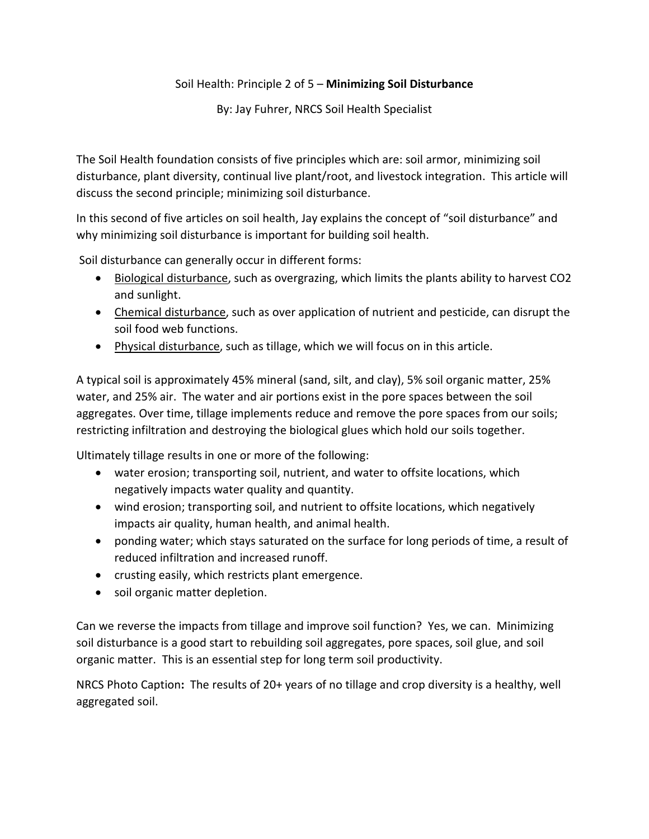## Soil Health: Principle 2 of 5 – **Minimizing Soil Disturbance**

By: Jay Fuhrer, NRCS Soil Health Specialist

The Soil Health foundation consists of five principles which are: soil armor, minimizing soil disturbance, plant diversity, continual live plant/root, and livestock integration. This article will discuss the second principle; minimizing soil disturbance.

In this second of five articles on soil health, Jay explains the concept of "soil disturbance" and why minimizing soil disturbance is important for building soil health.

Soil disturbance can generally occur in different forms:

- Biological disturbance, such as overgrazing, which limits the plants ability to harvest CO2 and sunlight.
- Chemical disturbance, such as over application of nutrient and pesticide, can disrupt the soil food web functions.
- Physical disturbance, such as tillage, which we will focus on in this article.

A typical soil is approximately 45% mineral (sand, silt, and clay), 5% soil organic matter, 25% water, and 25% air. The water and air portions exist in the pore spaces between the soil aggregates. Over time, tillage implements reduce and remove the pore spaces from our soils; restricting infiltration and destroying the biological glues which hold our soils together.

Ultimately tillage results in one or more of the following:

- water erosion; transporting soil, nutrient, and water to offsite locations, which negatively impacts water quality and quantity.
- wind erosion; transporting soil, and nutrient to offsite locations, which negatively impacts air quality, human health, and animal health.
- ponding water; which stays saturated on the surface for long periods of time, a result of reduced infiltration and increased runoff.
- crusting easily, which restricts plant emergence.
- soil organic matter depletion.

Can we reverse the impacts from tillage and improve soil function? Yes, we can. Minimizing soil disturbance is a good start to rebuilding soil aggregates, pore spaces, soil glue, and soil organic matter. This is an essential step for long term soil productivity.

NRCS Photo Caption**:** The results of 20+ years of no tillage and crop diversity is a healthy, well aggregated soil.